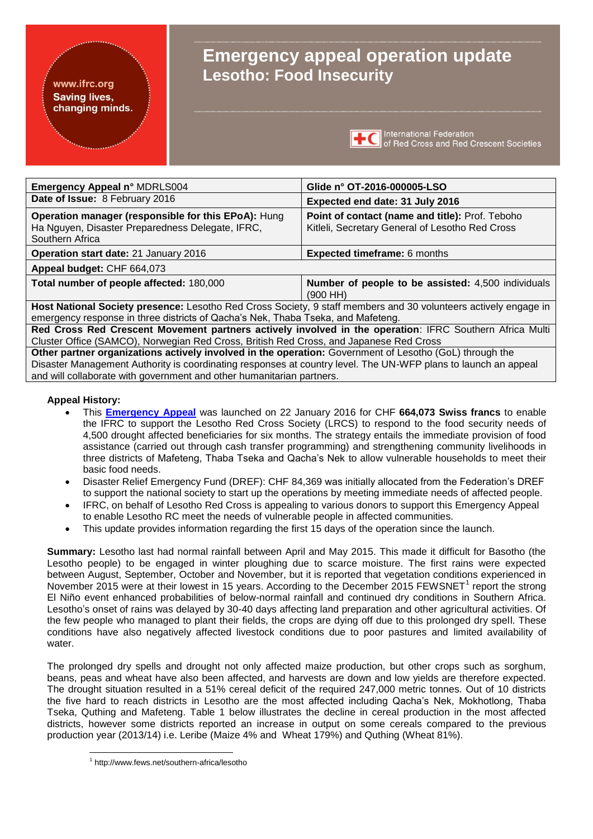#### www.ifrc.org **Saving lives,** changing minds.

# **Emergency appeal operation update Lesotho: Food Insecurity**



| Emergency Appeal n° MDRLS004                                                                                               | Glide n° OT-2016-000005-LSO                                                                        |  |  |
|----------------------------------------------------------------------------------------------------------------------------|----------------------------------------------------------------------------------------------------|--|--|
| Date of Issue: 8 February 2016                                                                                             | Expected end date: 31 July 2016                                                                    |  |  |
| Operation manager (responsible for this EPoA): Hung<br>Ha Nguyen, Disaster Preparedness Delegate, IFRC,<br>Southern Africa | Point of contact (name and title): Prof. Teboho<br>Kitleli, Secretary General of Lesotho Red Cross |  |  |
| Operation start date: 21 January 2016                                                                                      | <b>Expected timeframe: 6 months</b>                                                                |  |  |
| Appeal budget: CHF 664,073                                                                                                 |                                                                                                    |  |  |
| Total number of people affected: 180,000                                                                                   | Number of people to be assisted: 4,500 individuals<br>(900 HH)                                     |  |  |
| Host National Society presence: Lesotho Red Cross Society, 9 staff members and 30 volunteers actively engage in            |                                                                                                    |  |  |
| emergency response in three districts of Qacha's Nek, Thaba Tseka, and Mafeteng.                                           |                                                                                                    |  |  |

**Red Cross Red Crescent Movement partners actively involved in the operation**: IFRC Southern Africa Multi Cluster Office (SAMCO), Norwegian Red Cross, British Red Cross, and Japanese Red Cross

**Other partner organizations actively involved in the operation:** Government of Lesotho (GoL) through the Disaster Management Authority is coordinating responses at country level. The UN-WFP plans to launch an appeal and will collaborate with government and other humanitarian partners.

### **Appeal History:**

1

- This **[Emergency Appeal](http://adore.ifrc.org/Download.aspx?FileId=120367)** was launched on 22 January 2016 for CHF **664,073 Swiss francs** to enable the IFRC to support the Lesotho Red Cross Society (LRCS) to respond to the food security needs of 4,500 drought affected beneficiaries for six months. The strategy entails the immediate provision of food assistance (carried out through cash transfer programming) and strengthening community livelihoods in three districts of Mafeteng, Thaba Tseka and Qacha's Nek to allow vulnerable households to meet their basic food needs.
- Disaster Relief Emergency Fund (DREF): CHF 84,369 was initially allocated from the Federation's DREF to support the national society to start up the operations by meeting immediate needs of affected people.
- IFRC, on behalf of Lesotho Red Cross is appealing to various donors to support this Emergency Appeal to enable Lesotho RC meet the needs of vulnerable people in affected communities.
- This update provides information regarding the first 15 days of the operation since the launch.

**Summary:** Lesotho last had normal rainfall between April and May 2015. This made it difficult for Basotho (the Lesotho people) to be engaged in winter ploughing due to scarce moisture. The first rains were expected between August, September, October and November, but it is reported that vegetation conditions experienced in November 2015 were at their lowest in 15 years. According to the December 2015 FEWSNET<sup>1</sup> report the strong El Niño event enhanced probabilities of below-normal rainfall and continued dry conditions in Southern Africa. Lesotho's onset of rains was delayed by 30-40 days affecting land preparation and other agricultural activities. Of the few people who managed to plant their fields, the crops are dying off due to this prolonged dry spell. These conditions have also negatively affected livestock conditions due to poor pastures and limited availability of water.

The prolonged dry spells and drought not only affected maize production, but other crops such as sorghum, beans, peas and wheat have also been affected, and harvests are down and low yields are therefore expected. The drought situation resulted in a 51% cereal deficit of the required 247,000 metric tonnes. Out of 10 districts the five hard to reach districts in Lesotho are the most affected including Qacha's Nek, Mokhotlong, Thaba Tseka, Quthing and Mafeteng. Table 1 below illustrates the decline in cereal production in the most affected districts, however some districts reported an increase in output on some cereals compared to the previous production year (2013/14) i.e. Leribe (Maize 4% and Wheat 179%) and Quthing (Wheat 81%).

<sup>1</sup> http://www.fews.net/southern-africa/lesotho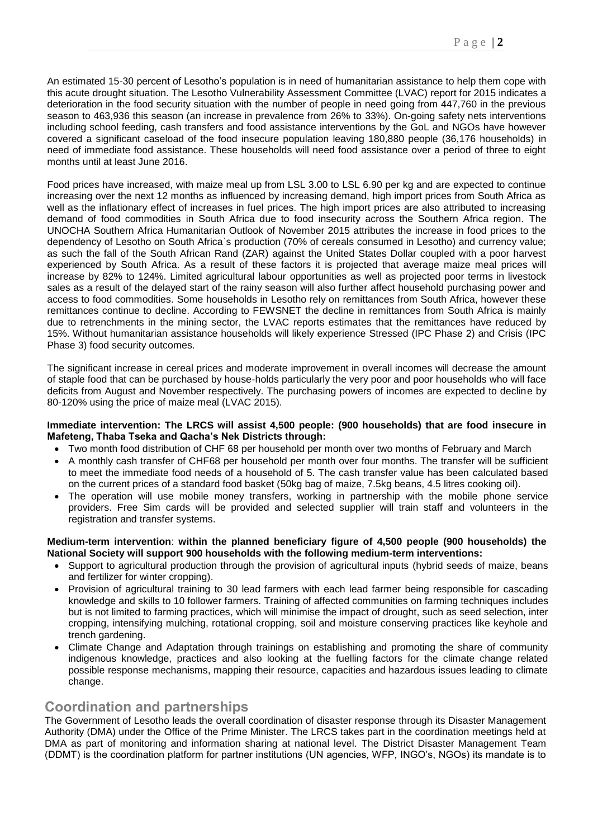An estimated 15-30 percent of Lesotho's population is in need of humanitarian assistance to help them cope with this acute drought situation. The Lesotho Vulnerability Assessment Committee (LVAC) report for 2015 indicates a deterioration in the food security situation with the number of people in need going from 447,760 in the previous season to 463,936 this season (an increase in prevalence from 26% to 33%). On-going safety nets interventions including school feeding, cash transfers and food assistance interventions by the GoL and NGOs have however covered a significant caseload of the food insecure population leaving 180,880 people (36,176 households) in need of immediate food assistance. These households will need food assistance over a period of three to eight months until at least June 2016.

Food prices have increased, with maize meal up from LSL 3.00 to LSL 6.90 per kg and are expected to continue increasing over the next 12 months as influenced by increasing demand, high import prices from South Africa as well as the inflationary effect of increases in fuel prices. The high import prices are also attributed to increasing demand of food commodities in South Africa due to food insecurity across the Southern Africa region. The UNOCHA Southern Africa Humanitarian Outlook of November 2015 attributes the increase in food prices to the dependency of Lesotho on South Africa`s production (70% of cereals consumed in Lesotho) and currency value; as such the fall of the South African Rand (ZAR) against the United States Dollar coupled with a poor harvest experienced by South Africa. As a result of these factors it is projected that average maize meal prices will increase by 82% to 124%. Limited agricultural labour opportunities as well as projected poor terms in livestock sales as a result of the delayed start of the rainy season will also further affect household purchasing power and access to food commodities. Some households in Lesotho rely on remittances from South Africa, however these remittances continue to decline. According to FEWSNET the decline in remittances from South Africa is mainly due to retrenchments in the mining sector, the LVAC reports estimates that the remittances have reduced by 15%. Without humanitarian assistance households will likely experience Stressed (IPC Phase 2) and Crisis (IPC Phase 3) food security outcomes.

The significant increase in cereal prices and moderate improvement in overall incomes will decrease the amount of staple food that can be purchased by house-holds particularly the very poor and poor households who will face deficits from August and November respectively. The purchasing powers of incomes are expected to decline by 80-120% using the price of maize meal (LVAC 2015).

#### **Immediate intervention: The LRCS will assist 4,500 people: (900 households) that are food insecure in Mafeteng, Thaba Tseka and Qacha's Nek Districts through:**

- Two month food distribution of CHF 68 per household per month over two months of February and March
- A monthly cash transfer of CHF68 per household per month over four months. The transfer will be sufficient to meet the immediate food needs of a household of 5. The cash transfer value has been calculated based on the current prices of a standard food basket (50kg bag of maize, 7.5kg beans, 4.5 litres cooking oil).
- The operation will use mobile money transfers, working in partnership with the mobile phone service providers. Free Sim cards will be provided and selected supplier will train staff and volunteers in the registration and transfer systems.

#### **Medium-term intervention**: **within the planned beneficiary figure of 4,500 people (900 households) the National Society will support 900 households with the following medium-term interventions:**

- Support to agricultural production through the provision of agricultural inputs (hybrid seeds of maize, beans and fertilizer for winter cropping).
- Provision of agricultural training to 30 lead farmers with each lead farmer being responsible for cascading knowledge and skills to 10 follower farmers. Training of affected communities on farming techniques includes but is not limited to farming practices, which will minimise the impact of drought, such as seed selection, inter cropping, intensifying mulching, rotational cropping, soil and moisture conserving practices like keyhole and trench gardening.
- Climate Change and Adaptation through trainings on establishing and promoting the share of community indigenous knowledge, practices and also looking at the fuelling factors for the climate change related possible response mechanisms, mapping their resource, capacities and hazardous issues leading to climate change.

# **Coordination and partnerships**

The Government of Lesotho leads the overall coordination of disaster response through its Disaster Management Authority (DMA) under the Office of the Prime Minister. The LRCS takes part in the coordination meetings held at DMA as part of monitoring and information sharing at national level. The District Disaster Management Team (DDMT) is the coordination platform for partner institutions (UN agencies, WFP, INGO's, NGOs) its mandate is to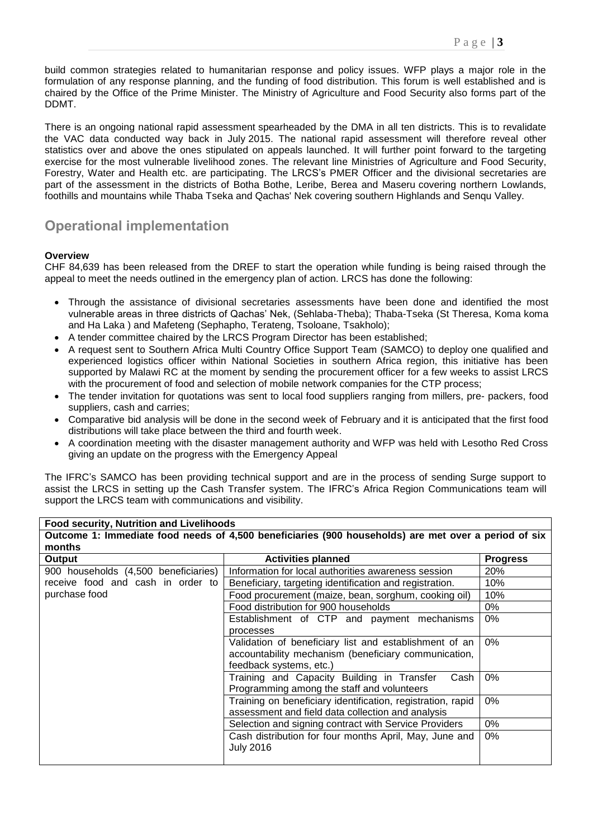build common strategies related to humanitarian response and policy issues. WFP plays a major role in the formulation of any response planning, and the funding of food distribution. This forum is well established and is chaired by the Office of the Prime Minister. The Ministry of Agriculture and Food Security also forms part of the DDMT.

There is an ongoing national rapid assessment spearheaded by the DMA in all ten districts. This is to revalidate the VAC data conducted way back in July 2015. The national rapid assessment will therefore reveal other statistics over and above the ones stipulated on appeals launched. It will further point forward to the targeting exercise for the most vulnerable livelihood zones. The relevant line Ministries of Agriculture and Food Security, Forestry, Water and Health etc. are participating. The LRCS's PMER Officer and the divisional secretaries are part of the assessment in the districts of Botha Bothe, Leribe, Berea and Maseru covering northern Lowlands, foothills and mountains while Thaba Tseka and Qachas' Nek covering southern Highlands and Senqu Valley.

# **Operational implementation**

### **Overview**

CHF 84,639 has been released from the DREF to start the operation while funding is being raised through the appeal to meet the needs outlined in the emergency plan of action. LRCS has done the following:

- Through the assistance of divisional secretaries assessments have been done and identified the most vulnerable areas in three districts of Qachas' Nek, (Sehlaba-Theba); Thaba-Tseka (St Theresa, Koma koma and Ha Laka ) and Mafeteng (Sephapho, Terateng, Tsoloane, Tsakholo);
- A tender committee chaired by the LRCS Program Director has been established;
- A request sent to Southern Africa Multi Country Office Support Team (SAMCO) to deploy one qualified and experienced logistics officer within National Societies in southern Africa region, this initiative has been supported by Malawi RC at the moment by sending the procurement officer for a few weeks to assist LRCS with the procurement of food and selection of mobile network companies for the CTP process;
- The tender invitation for quotations was sent to local food suppliers ranging from millers, pre- packers, food suppliers, cash and carries;
- Comparative bid analysis will be done in the second week of February and it is anticipated that the first food distributions will take place between the third and fourth week.
- A coordination meeting with the disaster management authority and WFP was held with Lesotho Red Cross giving an update on the progress with the Emergency Appeal

The IFRC's SAMCO has been providing technical support and are in the process of sending Surge support to assist the LRCS in setting up the Cash Transfer system. The IFRC's Africa Region Communications team will support the LRCS team with communications and visibility.

| <b>Food security, Nutrition and Livelihoods</b>                                                      |                                                             |                 |  |  |
|------------------------------------------------------------------------------------------------------|-------------------------------------------------------------|-----------------|--|--|
| Outcome 1: Immediate food needs of 4,500 beneficiaries (900 households) are met over a period of six |                                                             |                 |  |  |
| months                                                                                               |                                                             |                 |  |  |
| Output                                                                                               | <b>Activities planned</b>                                   | <b>Progress</b> |  |  |
| 900 households (4,500 beneficiaries)                                                                 | Information for local authorities awareness session         | 20%             |  |  |
| receive food and cash in order to                                                                    | Beneficiary, targeting identification and registration.     | 10%             |  |  |
| purchase food                                                                                        | Food procurement (maize, bean, sorghum, cooking oil)        | 10%             |  |  |
|                                                                                                      | Food distribution for 900 households                        | 0%              |  |  |
|                                                                                                      | Establishment of CTP and payment mechanisms                 | $0\%$           |  |  |
|                                                                                                      | processes                                                   |                 |  |  |
|                                                                                                      | Validation of beneficiary list and establishment of an      | $0\%$           |  |  |
|                                                                                                      | accountability mechanism (beneficiary communication,        |                 |  |  |
|                                                                                                      | feedback systems, etc.)                                     |                 |  |  |
|                                                                                                      | Training and Capacity Building in Transfer<br>Cash          | 0%              |  |  |
|                                                                                                      | Programming among the staff and volunteers                  |                 |  |  |
|                                                                                                      | Training on beneficiary identification, registration, rapid | $0\%$           |  |  |
|                                                                                                      | assessment and field data collection and analysis           |                 |  |  |
|                                                                                                      | Selection and signing contract with Service Providers       | 0%              |  |  |
|                                                                                                      | Cash distribution for four months April, May, June and      | $0\%$           |  |  |
|                                                                                                      | <b>July 2016</b>                                            |                 |  |  |
|                                                                                                      |                                                             |                 |  |  |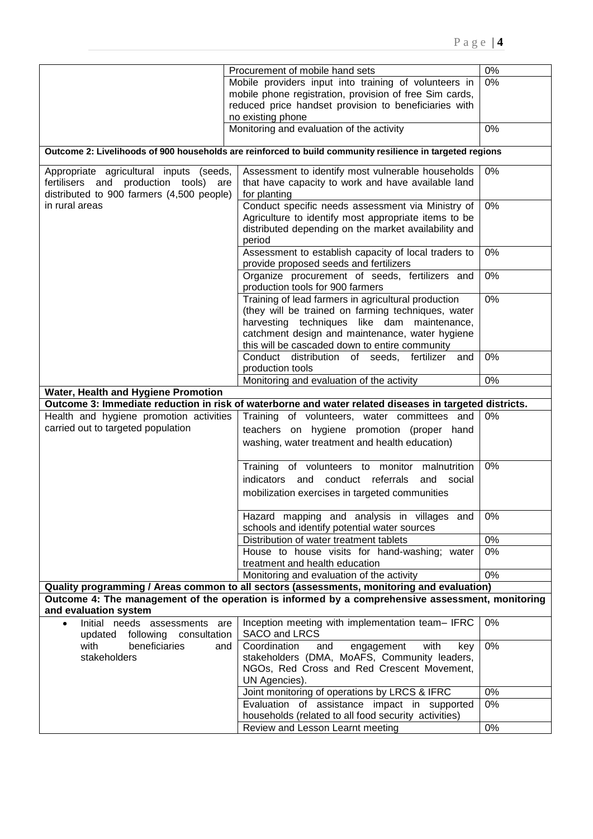|                                                                                                           | Procurement of mobile hand sets                                                                                                                                                                | 0%    |  |  |
|-----------------------------------------------------------------------------------------------------------|------------------------------------------------------------------------------------------------------------------------------------------------------------------------------------------------|-------|--|--|
|                                                                                                           |                                                                                                                                                                                                |       |  |  |
|                                                                                                           | Mobile providers input into training of volunteers in                                                                                                                                          | 0%    |  |  |
|                                                                                                           | mobile phone registration, provision of free Sim cards,                                                                                                                                        |       |  |  |
|                                                                                                           | reduced price handset provision to beneficiaries with                                                                                                                                          |       |  |  |
| no existing phone                                                                                         |                                                                                                                                                                                                |       |  |  |
|                                                                                                           | Monitoring and evaluation of the activity                                                                                                                                                      | 0%    |  |  |
| Outcome 2: Livelihoods of 900 households are reinforced to build community resilience in targeted regions |                                                                                                                                                                                                |       |  |  |
| Appropriate agricultural inputs (seeds,                                                                   | Assessment to identify most vulnerable households                                                                                                                                              | $0\%$ |  |  |
|                                                                                                           |                                                                                                                                                                                                |       |  |  |
| fertilisers and production tools) are                                                                     | that have capacity to work and have available land                                                                                                                                             |       |  |  |
| distributed to 900 farmers (4,500 people)                                                                 | for planting                                                                                                                                                                                   |       |  |  |
| in rural areas                                                                                            | Conduct specific needs assessment via Ministry of                                                                                                                                              | 0%    |  |  |
|                                                                                                           | Agriculture to identify most appropriate items to be                                                                                                                                           |       |  |  |
|                                                                                                           | distributed depending on the market availability and                                                                                                                                           |       |  |  |
|                                                                                                           | period                                                                                                                                                                                         |       |  |  |
|                                                                                                           | Assessment to establish capacity of local traders to                                                                                                                                           | 0%    |  |  |
|                                                                                                           | provide proposed seeds and fertilizers                                                                                                                                                         |       |  |  |
|                                                                                                           | Organize procurement of seeds, fertilizers and                                                                                                                                                 | 0%    |  |  |
|                                                                                                           | production tools for 900 farmers                                                                                                                                                               |       |  |  |
|                                                                                                           | Training of lead farmers in agricultural production                                                                                                                                            | $0\%$ |  |  |
|                                                                                                           | (they will be trained on farming techniques, water                                                                                                                                             |       |  |  |
|                                                                                                           |                                                                                                                                                                                                |       |  |  |
|                                                                                                           | harvesting techniques like dam maintenance,                                                                                                                                                    |       |  |  |
|                                                                                                           | catchment design and maintenance, water hygiene                                                                                                                                                |       |  |  |
|                                                                                                           | this will be cascaded down to entire community                                                                                                                                                 |       |  |  |
|                                                                                                           | Conduct distribution of seeds, fertilizer and                                                                                                                                                  | 0%    |  |  |
|                                                                                                           | production tools                                                                                                                                                                               |       |  |  |
|                                                                                                           | Monitoring and evaluation of the activity                                                                                                                                                      | 0%    |  |  |
| Water, Health and Hygiene Promotion                                                                       |                                                                                                                                                                                                |       |  |  |
|                                                                                                           | Outcome 3: Immediate reduction in risk of waterborne and water related diseases in targeted districts.                                                                                         |       |  |  |
| Health and hygiene promotion activities                                                                   | Training of volunteers, water committees and                                                                                                                                                   | 0%    |  |  |
| carried out to targeted population                                                                        | teachers on hygiene promotion (proper hand                                                                                                                                                     |       |  |  |
|                                                                                                           |                                                                                                                                                                                                |       |  |  |
|                                                                                                           | washing, water treatment and health education)                                                                                                                                                 |       |  |  |
|                                                                                                           | Training of volunteers to monitor malnutrition                                                                                                                                                 | 0%    |  |  |
|                                                                                                           | conduct referrals<br>indicators<br>and<br>and<br>social                                                                                                                                        |       |  |  |
|                                                                                                           |                                                                                                                                                                                                |       |  |  |
|                                                                                                           | mobilization exercises in targeted communities                                                                                                                                                 |       |  |  |
|                                                                                                           |                                                                                                                                                                                                |       |  |  |
|                                                                                                           | Hazard mapping and analysis in villages and                                                                                                                                                    | 0%    |  |  |
|                                                                                                           | schools and identify potential water sources                                                                                                                                                   |       |  |  |
|                                                                                                           | Distribution of water treatment tablets                                                                                                                                                        | 0%    |  |  |
|                                                                                                           |                                                                                                                                                                                                |       |  |  |
|                                                                                                           | House to house visits for hand-washing; water                                                                                                                                                  | 0%    |  |  |
|                                                                                                           | treatment and health education                                                                                                                                                                 |       |  |  |
|                                                                                                           | Monitoring and evaluation of the activity                                                                                                                                                      | 0%    |  |  |
|                                                                                                           |                                                                                                                                                                                                |       |  |  |
|                                                                                                           | Quality programming / Areas common to all sectors (assessments, monitoring and evaluation)<br>Outcome 4: The management of the operation is informed by a comprehensive assessment, monitoring |       |  |  |
| and evaluation system                                                                                     |                                                                                                                                                                                                |       |  |  |
| Initial needs assessments are                                                                             | Inception meeting with implementation team- IFRC                                                                                                                                               | 0%    |  |  |
| updated<br>following<br>consultation                                                                      | SACO and LRCS                                                                                                                                                                                  |       |  |  |
| with<br>beneficiaries<br>and                                                                              | Coordination<br>and<br>engagement<br>with<br>key                                                                                                                                               | 0%    |  |  |
| stakeholders                                                                                              | stakeholders (DMA, MoAFS, Community leaders,                                                                                                                                                   |       |  |  |
|                                                                                                           | NGOs, Red Cross and Red Crescent Movement,                                                                                                                                                     |       |  |  |
|                                                                                                           | UN Agencies).                                                                                                                                                                                  |       |  |  |
|                                                                                                           | Joint monitoring of operations by LRCS & IFRC                                                                                                                                                  | 0%    |  |  |
|                                                                                                           | Evaluation of assistance impact in supported                                                                                                                                                   | 0%    |  |  |
|                                                                                                           | households (related to all food security activities)                                                                                                                                           |       |  |  |
|                                                                                                           | Review and Lesson Learnt meeting                                                                                                                                                               | 0%    |  |  |